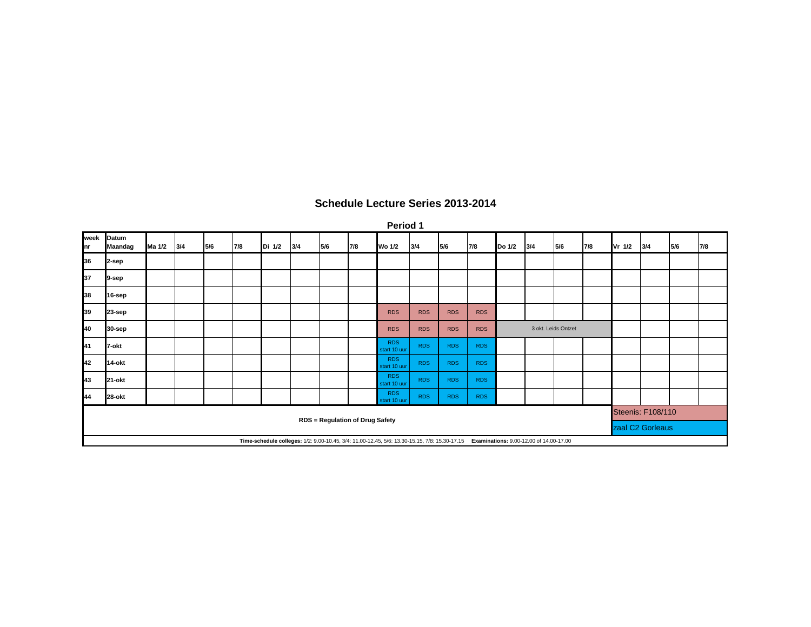|            | Period 1                |        |     |     |     |        |     |     |                                        |                                                                                                                                       |            |            |            |        |                     |     |     |                          |     |     |     |  |
|------------|-------------------------|--------|-----|-----|-----|--------|-----|-----|----------------------------------------|---------------------------------------------------------------------------------------------------------------------------------------|------------|------------|------------|--------|---------------------|-----|-----|--------------------------|-----|-----|-----|--|
| week<br>nr | Datum<br><b>Maandag</b> | Ma 1/2 | 3/4 | 5/6 | 7/8 | Di 1/2 | 3/4 | 5/6 | 7/8                                    | Wo 1/2                                                                                                                                | 3/4        | 5/6        | 7/8        | Do 1/2 | 3/4                 | 5/6 | 7/8 | Vr 1/2                   | 3/4 | 5/6 | 7/8 |  |
| 36         | 2-sep                   |        |     |     |     |        |     |     |                                        |                                                                                                                                       |            |            |            |        |                     |     |     |                          |     |     |     |  |
| 37         | 9-sep                   |        |     |     |     |        |     |     |                                        |                                                                                                                                       |            |            |            |        |                     |     |     |                          |     |     |     |  |
| 38         | 16-sep                  |        |     |     |     |        |     |     |                                        |                                                                                                                                       |            |            |            |        |                     |     |     |                          |     |     |     |  |
| 39         | 23-sep                  |        |     |     |     |        |     |     |                                        | <b>RDS</b>                                                                                                                            | <b>RDS</b> | <b>RDS</b> | <b>RDS</b> |        |                     |     |     |                          |     |     |     |  |
| 40         | 30-sep                  |        |     |     |     |        |     |     |                                        | <b>RDS</b>                                                                                                                            | <b>RDS</b> | <b>RDS</b> | <b>RDS</b> |        | 3 okt. Leids Ontzet |     |     |                          |     |     |     |  |
| 41         | 7-okt                   |        |     |     |     |        |     |     |                                        | <b>RDS</b><br>start 10 uur                                                                                                            | <b>RDS</b> | <b>RDS</b> | <b>RDS</b> |        |                     |     |     |                          |     |     |     |  |
| 42         | 14-okt                  |        |     |     |     |        |     |     |                                        | <b>RDS</b><br>start 10 uur                                                                                                            | <b>RDS</b> | <b>RDS</b> | <b>RDS</b> |        |                     |     |     |                          |     |     |     |  |
| 43         | 21-okt                  |        |     |     |     |        |     |     |                                        | <b>RDS</b><br>start 10 uur                                                                                                            | <b>RDS</b> | <b>RDS</b> | <b>RDS</b> |        |                     |     |     |                          |     |     |     |  |
| 44         | 28-okt                  |        |     |     |     |        |     |     |                                        | <b>RDS</b><br>start 10 uur                                                                                                            | <b>RDS</b> | <b>RDS</b> | <b>RDS</b> |        |                     |     |     |                          |     |     |     |  |
|            |                         |        |     |     |     |        |     |     | <b>RDS = Regulation of Drug Safety</b> |                                                                                                                                       |            |            |            |        |                     |     |     | <b>Steenis: F108/110</b> |     |     |     |  |
|            |                         |        |     |     |     |        |     |     |                                        |                                                                                                                                       |            |            |            |        |                     |     |     | zaal C2 Gorleaus         |     |     |     |  |
|            |                         |        |     |     |     |        |     |     |                                        | Time-schedule colleges: 1/2: 9.00-10.45, 3/4: 11.00-12.45, 5/6: 13.30-15.15, 7/8: 15.30-17.15 Examinations: 9.00-12.00 of 14.00-17.00 |            |            |            |        |                     |     |     |                          |     |     |     |  |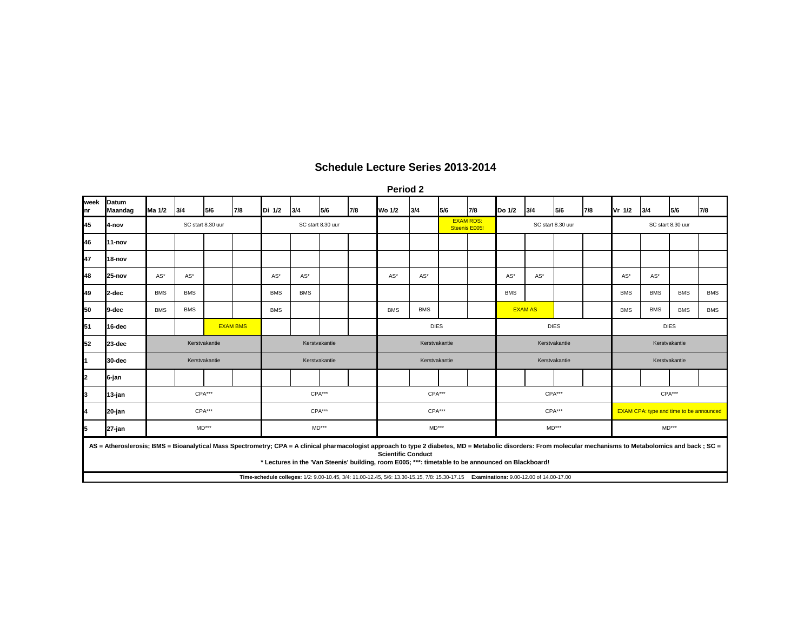**Period 2**

| week<br>Inr | Datum<br>Maandag                                                                                                                                                                                             | Ma 1/2                | 3/4               | 5/6           | 7/8 | Di 1/2            | 3/4                   | 5/6 | 7/8     | Wo 1/2        | 3/4           | 5/6                               | 7/8     | Do 1/2        | 3/4               | 5/6   | 7/8           | Vr 1/2                                         | 3/4                   | 5/6         | 7/8        |  |
|-------------|--------------------------------------------------------------------------------------------------------------------------------------------------------------------------------------------------------------|-----------------------|-------------------|---------------|-----|-------------------|-----------------------|-----|---------|---------------|---------------|-----------------------------------|---------|---------------|-------------------|-------|---------------|------------------------------------------------|-----------------------|-------------|------------|--|
| 45          | 4-nov                                                                                                                                                                                                        |                       | SC start 8.30 uur |               |     | SC start 8.30 uur |                       |     |         |               |               | <b>EXAM RDS:</b><br>Steenis E005! |         |               | SC start 8.30 uur |       |               | SC start 8.30 uur                              |                       |             |            |  |
| 46          | 11-nov                                                                                                                                                                                                       |                       |                   |               |     |                   |                       |     |         |               |               |                                   |         |               |                   |       |               |                                                |                       |             |            |  |
| 47          | 18-nov                                                                                                                                                                                                       |                       |                   |               |     |                   |                       |     |         |               |               |                                   |         |               |                   |       |               |                                                |                       |             |            |  |
| 48          | 25-nov                                                                                                                                                                                                       | $\mathsf{AS}^{\star}$ | AS*               |               |     | AS*               | $\mathsf{AS}^{\star}$ |     |         | AS*           | AS*           |                                   |         | AS*           | AS*               |       |               | $AS^*$                                         | $\mathsf{AS}^{\star}$ |             |            |  |
| 49          | 2-dec                                                                                                                                                                                                        | <b>BMS</b>            | <b>BMS</b>        |               |     | <b>BMS</b>        | <b>BMS</b>            |     |         |               |               |                                   |         | <b>BMS</b>    |                   |       |               | <b>BMS</b>                                     | <b>BMS</b>            | <b>BMS</b>  | <b>BMS</b> |  |
| 50          | 9-dec                                                                                                                                                                                                        | <b>BMS</b>            | <b>BMS</b>        |               |     | <b>BMS</b>        |                       |     |         | <b>BMS</b>    | <b>BMS</b>    |                                   |         |               | <b>EXAM AS</b>    |       |               | <b>BMS</b>                                     | <b>BMS</b>            | <b>BMS</b>  | <b>BMS</b> |  |
| 51          | 16-dec                                                                                                                                                                                                       | <b>EXAM BMS</b>       |                   |               |     |                   |                       |     |         |               | <b>DIES</b>   |                                   |         |               | <b>DIES</b>       |       |               |                                                |                       | <b>DIES</b> |            |  |
| 52          | 23-dec                                                                                                                                                                                                       |                       |                   | Kerstvakantie |     | Kerstvakantie     |                       |     |         |               | Kerstvakantie |                                   |         | Kerstvakantie |                   |       |               |                                                | Kerstvakantie         |             |            |  |
| 11          | 30-dec                                                                                                                                                                                                       |                       |                   | Kerstvakantie |     | Kerstvakantie     |                       |     |         | Kerstvakantie |               |                                   |         | Kerstvakantie |                   |       | Kerstvakantie |                                                |                       |             |            |  |
| I2          | 6-jan                                                                                                                                                                                                        |                       |                   |               |     |                   |                       |     |         |               |               |                                   |         |               |                   |       |               |                                                |                       |             |            |  |
| 3           | 13-jan                                                                                                                                                                                                       |                       |                   | CPA***        |     |                   | CPA***                |     |         |               | CPA***        |                                   |         |               | CPA***            |       |               | CPA***                                         |                       |             |            |  |
| 14          | 20-jan                                                                                                                                                                                                       |                       |                   | CPA***        |     |                   | CPA***                |     |         |               | CPA***        |                                   |         |               | CPA***            |       |               | <b>EXAM CPA: type and time to be announced</b> |                       |             |            |  |
| 5           | 27-jan                                                                                                                                                                                                       | $MD***$               |                   |               |     | $MD***$           |                       |     | $MD***$ |               |               |                                   | $MD***$ |               |                   | MD*** |               |                                                |                       |             |            |  |
|             | AS = Atheroslerosis; BMS = Bioanalytical Mass Spectrometry; CPA = A clinical pharmacologist approach to type 2 diabetes, MD = Metabolic disorders: From molecular mechanisms to Metabolomics and back ; SC = |                       |                   |               |     |                   |                       |     |         |               |               |                                   |         |               |                   |       |               |                                                |                       |             |            |  |

**Scientific Conduct**

**\* Lectures in the 'Van Steenis' building, room E005; \*\*\*: timetable to be announced on Blackboard!**

**Time-schedule colleges:** 1/2: 9.00-10.45, 3/4: 11.00-12.45, 5/6: 13.30-15.15, 7/8: 15.30-17.15 **Examinations:** 9.00-12.00 of 14.00-17.00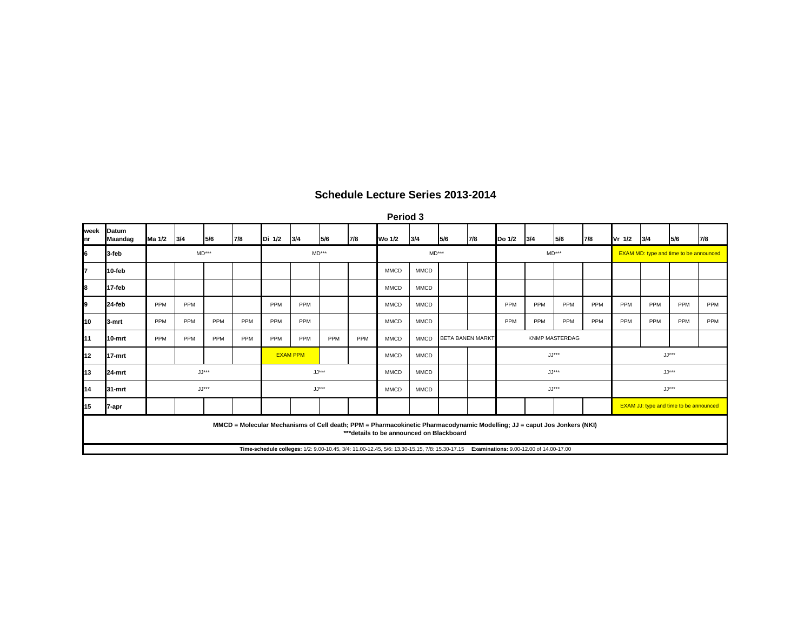| Period 3 |  |
|----------|--|
|----------|--|

| week<br>Inr | Datum<br>Maandag                                                                                                                                                                                                                                                                                                  | Ma 1/2 | 3/4     | 5/6     | 7/8 | Di 1/2  | 3/4             | 5/6 | 7/8 | <b>Wo 1/2</b> | 3/4         | 5/6                     | 7/8 | Do 1/2 | 3/4     | 5/6                   | 7/8 | Vr 1/2                                        | 3/4 | 5/6                                           | 7/8 |  |
|-------------|-------------------------------------------------------------------------------------------------------------------------------------------------------------------------------------------------------------------------------------------------------------------------------------------------------------------|--------|---------|---------|-----|---------|-----------------|-----|-----|---------------|-------------|-------------------------|-----|--------|---------|-----------------------|-----|-----------------------------------------------|-----|-----------------------------------------------|-----|--|
| 6           | 3-feb                                                                                                                                                                                                                                                                                                             |        | $MD***$ |         |     | $MD***$ |                 |     |     | $MD***$       |             |                         |     |        | $MD***$ |                       |     | <b>EXAM MD: type and time to be announced</b> |     |                                               |     |  |
| 7           | 10-feb                                                                                                                                                                                                                                                                                                            |        |         |         |     |         |                 |     |     | <b>MMCD</b>   | <b>MMCD</b> |                         |     |        |         |                       |     |                                               |     |                                               |     |  |
| 8           | 17-feb                                                                                                                                                                                                                                                                                                            |        |         |         |     |         |                 |     |     | <b>MMCD</b>   | <b>MMCD</b> |                         |     |        |         |                       |     |                                               |     |                                               |     |  |
| l9          | 24-feb                                                                                                                                                                                                                                                                                                            | PPM    | PPM     |         |     | PPM     | PPM             |     |     | <b>MMCD</b>   | <b>MMCD</b> |                         |     | PPM    | PPM     | PPM                   | PPM | PPM                                           | PPM | PPM                                           | PPM |  |
| 10          | <b>13-mrt</b>                                                                                                                                                                                                                                                                                                     | PPM    | PPM     | PPM     | PPM | PPM     | PPM             |     |     | <b>MMCD</b>   | <b>MMCD</b> |                         |     | PPM    | PPM     | PPM                   | PPM | PPM                                           | PPM | PPM                                           | PPM |  |
| 11          | 10-mrt                                                                                                                                                                                                                                                                                                            | PPM    | PPM     | PPM     | PPM | PPM     | PPM             | PPM | PPM | <b>MMCD</b>   | <b>MMCD</b> | <b>BETA BANEN MARKT</b> |     |        |         | <b>KNMP MASTERDAG</b> |     |                                               |     |                                               |     |  |
| 12          | 17-mrt                                                                                                                                                                                                                                                                                                            |        |         |         |     |         | <b>EXAM PPM</b> |     |     | <b>MMCD</b>   | <b>MMCD</b> |                         |     |        | $JJ***$ |                       |     | $JJ***$                                       |     |                                               |     |  |
| 13          | 24-mrt                                                                                                                                                                                                                                                                                                            |        |         | $JJ***$ |     |         | $JJ***$         |     |     | <b>MMCD</b>   | <b>MMCD</b> |                         |     |        | $JJ***$ |                       |     | $JJ***$                                       |     |                                               |     |  |
| 14          | 31-mrt                                                                                                                                                                                                                                                                                                            |        |         | $JJ***$ |     | $JJ***$ |                 |     |     | <b>MMCD</b>   | <b>MMCD</b> |                         |     |        | $JJ***$ |                       |     | $JJ***$                                       |     |                                               |     |  |
| 15          | 7-apr                                                                                                                                                                                                                                                                                                             |        |         |         |     |         |                 |     |     |               |             |                         |     |        |         |                       |     |                                               |     | <b>EXAM JJ: type and time to be announced</b> |     |  |
|             | MMCD = Molecular Mechanisms of Cell death; PPM = Pharmacokinetic Pharmacodynamic Modelling; JJ = caput Jos Jonkers (NKI)<br>*** details to be announced on Blackboard<br>Examinations: 9.00-12.00 of 14.00-17.00<br>Time-schedule colleges: 1/2: 9.00-10.45, 3/4: 11.00-12.45, 5/6: 13.30-15.15, 7/8: 15.30-17.15 |        |         |         |     |         |                 |     |     |               |             |                         |     |        |         |                       |     |                                               |     |                                               |     |  |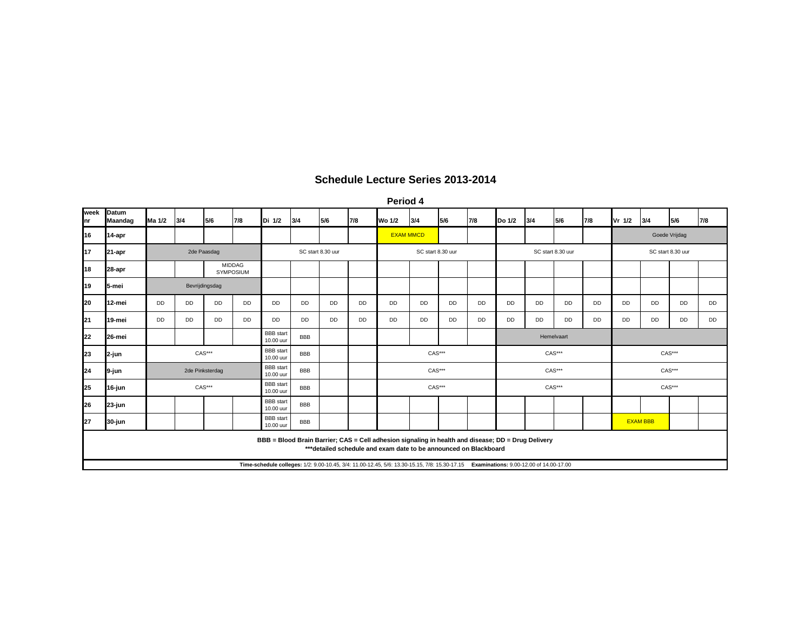**Period 4**

| week<br>Inr | Datum<br>Maandag | Ma 1/2         | 3/4             | 5/6                               | 7/8 | Di 1/2                        | 3/4        | 5/6       | 7/8       | Wo 1/2                                                                                                                                                                  | 3/4       | 5/6       | 7/8 | Do 1/2            | 3/4        | 5/6       | 7/8           | Vr 1/2            | 3/4       | 5/6       | 7/8       |
|-------------|------------------|----------------|-----------------|-----------------------------------|-----|-------------------------------|------------|-----------|-----------|-------------------------------------------------------------------------------------------------------------------------------------------------------------------------|-----------|-----------|-----|-------------------|------------|-----------|---------------|-------------------|-----------|-----------|-----------|
| 16          | 14-apr           |                |                 |                                   |     |                               |            |           |           | <b>EXAM MMCD</b>                                                                                                                                                        |           |           |     |                   |            |           | Goede Vrijdag |                   |           |           |           |
| 17          | 21-apr           |                | 2de Paasdag     |                                   |     | SC start 8.30 uur             |            |           |           | SC start 8.30 uur                                                                                                                                                       |           |           |     | SC start 8.30 uur |            |           |               | SC start 8.30 uur |           |           |           |
| 18          | 28-apr           |                |                 | <b>MIDDAG</b><br><b>SYMPOSIUM</b> |     |                               |            |           |           |                                                                                                                                                                         |           |           |     |                   |            |           |               |                   |           |           |           |
| 19          | 5-mei            | Bevrijdingsdag |                 |                                   |     |                               |            |           |           |                                                                                                                                                                         |           |           |     |                   |            |           |               |                   |           |           |           |
| 20          | 12-mei           | DD             | DD              | DD                                | DD  | DD                            | <b>DD</b>  | <b>DD</b> | <b>DD</b> | DD                                                                                                                                                                      | <b>DD</b> | <b>DD</b> | DD  | <b>DD</b>         | <b>DD</b>  | <b>DD</b> | <b>DD</b>     | <b>DD</b>         | <b>DD</b> | <b>DD</b> | <b>DD</b> |
| 21          | 19-mei           | DD             | DD              | DD                                | DD  | DD                            | DD         | DD        | DD        | DD                                                                                                                                                                      | <b>DD</b> | DD        | DD  | DD                | DD         | DD        | DD            | <b>DD</b>         | DD        | DD        | <b>DD</b> |
| 22          | 26-mei           |                |                 |                                   |     | <b>BBB</b> start<br>10.00 uur | <b>BBB</b> |           |           |                                                                                                                                                                         |           |           |     |                   | Hemelvaart |           |               |                   |           |           |           |
| 23          | 2-jun            |                | $CAS***$        |                                   |     | <b>BBB</b> start<br>10.00 uur | <b>BBB</b> |           |           | CAS***                                                                                                                                                                  |           |           |     | CAS***            |            |           |               |                   | CAS***    |           |           |
| 24          | 9-jun            |                | 2de Pinksterdag |                                   |     | <b>BBB</b> start<br>10.00 uur | <b>BBB</b> |           |           | <b>CAS***</b>                                                                                                                                                           |           |           |     | CAS***            |            |           |               | <b>CAS***</b>     |           |           |           |
| 25          | 16-jun           |                | CAS***          |                                   |     | <b>BBB</b> start<br>10.00 uur | <b>BBB</b> |           |           |                                                                                                                                                                         | CAS***    |           |     | CAS***            |            |           |               | CAS***            |           |           |           |
| 26          | 23-jun           |                |                 |                                   |     | <b>BBB</b> start<br>10.00 uur | <b>BBB</b> |           |           |                                                                                                                                                                         |           |           |     |                   |            |           |               |                   |           |           |           |
| 27          | 30-jun           |                |                 |                                   |     | <b>BBB</b> start<br>10.00 uur | <b>BBB</b> |           |           |                                                                                                                                                                         |           |           |     |                   |            |           |               | <b>EXAM BBB</b>   |           |           |           |
|             |                  |                |                 |                                   |     |                               |            |           |           | BBB = Blood Brain Barrier; CAS = Cell adhesion signaling in health and disease; DD = Drug Delivery<br>*** detailed schedule and exam date to be announced on Blackboard |           |           |     |                   |            |           |               |                   |           |           |           |
|             |                  |                |                 |                                   |     |                               |            |           |           | Time-schedule colleges: 1/2: 9.00-10.45, 3/4: 11.00-12.45, 5/6: 13.30-15.15, 7/8: 15.30-17.15 Examinations: 9.00-12.00 of 14.00-17.00                                   |           |           |     |                   |            |           |               |                   |           |           |           |